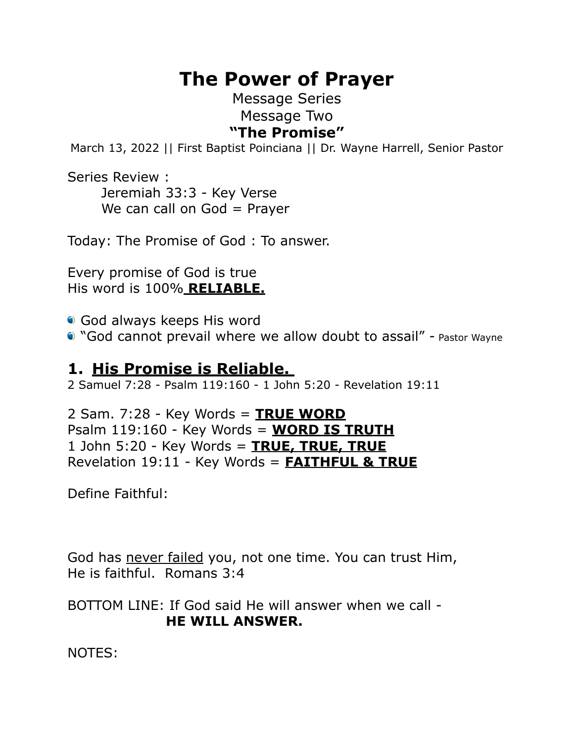# **The Power of Prayer**

### Message Series Message Two **"The Promise"**

March 13, 2022 || First Baptist Poinciana || Dr. Wayne Harrell, Senior Pastor

Series Review : Jeremiah 33:3 - Key Verse We can call on  $God = Prayer$ 

Today: The Promise of God : To answer.

Every promise of God is true His word is 100% **RELIABLE.** 

God always keeps His word

"God cannot prevail where we allow doubt to assail" - Pastor Wayne

## **1. His Promise is Reliable.**

2 Samuel 7:28 - Psalm 119:160 - 1 John 5:20 - Revelation 19:11

#### 2 Sam. 7:28 - Key Words = **TRUE WORD** Psalm 119:160 - Key Words = **WORD IS TRUTH** 1 John 5:20 - Key Words = **TRUE, TRUE, TRUE**  Revelation 19:11 - Key Words = **FAITHFUL & TRUE**

Define Faithful:

God has never failed you, not one time. You can trust Him, He is faithful. Romans 3:4

BOTTOM LINE: If God said He will answer when we call - **HE WILL ANSWER.**

NOTES: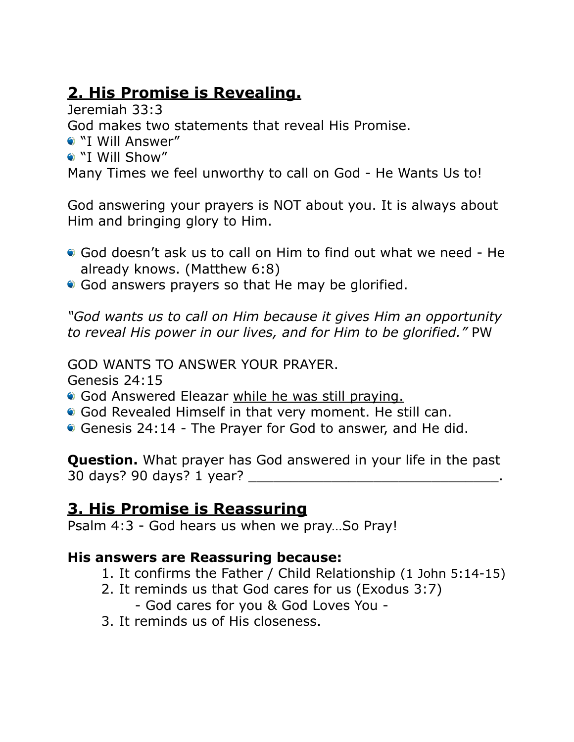## **2. His Promise is Revealing.**

Jeremiah 33:3

God makes two statements that reveal His Promise.

- "I Will Answer"
- "I Will Show"

Many Times we feel unworthy to call on God - He Wants Us to!

God answering your prayers is NOT about you. It is always about Him and bringing glory to Him.

- God doesn't ask us to call on Him to find out what we need He already knows. (Matthew 6:8)
- God answers prayers so that He may be glorified.

*"God wants us to call on Him because it gives Him an opportunity to reveal His power in our lives, and for Him to be glorified."* PW

GOD WANTS TO ANSWER YOUR PRAYER.

Genesis 24:15

- God Answered Eleazar while he was still praying.
- God Revealed Himself in that very moment. He still can.
- Genesis 24:14 The Prayer for God to answer, and He did.

**Question.** What prayer has God answered in your life in the past 30 days? 90 days? 1 year? \_\_\_\_\_\_\_\_\_\_\_\_\_\_\_\_\_\_\_\_\_\_\_\_\_\_\_\_\_\_.

## **3. His Promise is Reassuring**

Psalm 4:3 - God hears us when we pray…So Pray!

## **His answers are Reassuring because:**

- 1. It confirms the Father / Child Relationship (1 John 5:14-15)
- 2. It reminds us that God cares for us (Exodus 3:7)
	- God cares for you & God Loves You -
- 3. It reminds us of His closeness.